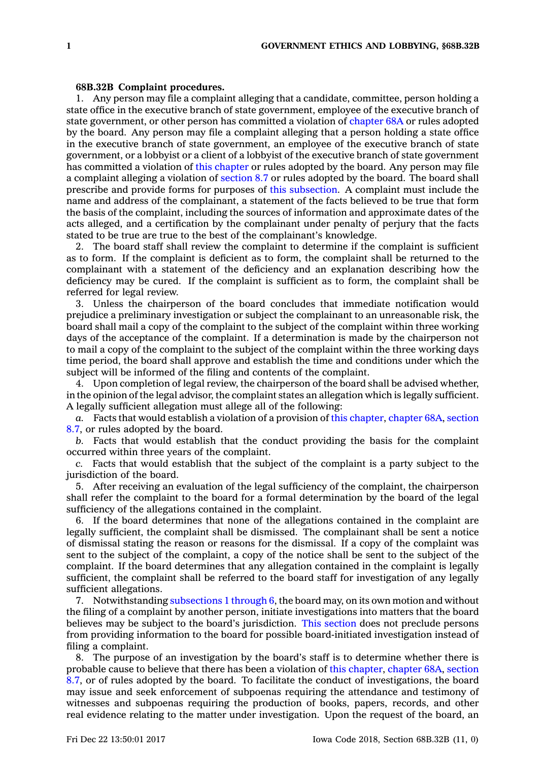## **68B.32B Complaint procedures.**

1. Any person may file <sup>a</sup> complaint alleging that <sup>a</sup> candidate, committee, person holding <sup>a</sup> state office in the executive branch of state government, employee of the executive branch of state government, or other person has committed <sup>a</sup> violation of [chapter](https://www.legis.iowa.gov/docs/code//68A.pdf) 68A or rules adopted by the board. Any person may file <sup>a</sup> complaint alleging that <sup>a</sup> person holding <sup>a</sup> state office in the executive branch of state government, an employee of the executive branch of state government, or <sup>a</sup> lobbyist or <sup>a</sup> client of <sup>a</sup> lobbyist of the executive branch of state government has committed <sup>a</sup> violation of this [chapter](https://www.legis.iowa.gov/docs/code//68B.pdf) or rules adopted by the board. Any person may file <sup>a</sup> complaint alleging <sup>a</sup> violation of [section](https://www.legis.iowa.gov/docs/code/8.7.pdf) 8.7 or rules adopted by the board. The board shall prescribe and provide forms for purposes of this [subsection](https://www.legis.iowa.gov/docs/code/68B.32B.pdf). A complaint must include the name and address of the complainant, <sup>a</sup> statement of the facts believed to be true that form the basis of the complaint, including the sources of information and approximate dates of the acts alleged, and <sup>a</sup> certification by the complainant under penalty of perjury that the facts stated to be true are true to the best of the complainant's knowledge.

2. The board staff shall review the complaint to determine if the complaint is sufficient as to form. If the complaint is deficient as to form, the complaint shall be returned to the complainant with <sup>a</sup> statement of the deficiency and an explanation describing how the deficiency may be cured. If the complaint is sufficient as to form, the complaint shall be referred for legal review.

3. Unless the chairperson of the board concludes that immediate notification would prejudice <sup>a</sup> preliminary investigation or subject the complainant to an unreasonable risk, the board shall mail <sup>a</sup> copy of the complaint to the subject of the complaint within three working days of the acceptance of the complaint. If <sup>a</sup> determination is made by the chairperson not to mail <sup>a</sup> copy of the complaint to the subject of the complaint within the three working days time period, the board shall approve and establish the time and conditions under which the subject will be informed of the filing and contents of the complaint.

4. Upon completion of legal review, the chairperson of the board shall be advised whether, in the opinion of the legal advisor, the complaint states an allegation which is legally sufficient. A legally sufficient allegation must allege all of the following:

*a.* Facts that would establish <sup>a</sup> violation of <sup>a</sup> provision of this [chapter](https://www.legis.iowa.gov/docs/code//68B.pdf), [chapter](https://www.legis.iowa.gov/docs/code//68A.pdf) 68A, [section](https://www.legis.iowa.gov/docs/code/8.7.pdf) [8.7](https://www.legis.iowa.gov/docs/code/8.7.pdf), or rules adopted by the board.

*b.* Facts that would establish that the conduct providing the basis for the complaint occurred within three years of the complaint.

*c.* Facts that would establish that the subject of the complaint is <sup>a</sup> party subject to the jurisdiction of the board.

5. After receiving an evaluation of the legal sufficiency of the complaint, the chairperson shall refer the complaint to the board for <sup>a</sup> formal determination by the board of the legal sufficiency of the allegations contained in the complaint.

6. If the board determines that none of the allegations contained in the complaint are legally sufficient, the complaint shall be dismissed. The complainant shall be sent <sup>a</sup> notice of dismissal stating the reason or reasons for the dismissal. If <sup>a</sup> copy of the complaint was sent to the subject of the complaint, <sup>a</sup> copy of the notice shall be sent to the subject of the complaint. If the board determines that any allegation contained in the complaint is legally sufficient, the complaint shall be referred to the board staff for investigation of any legally sufficient allegations.

7. Notwithstanding [subsections](https://www.legis.iowa.gov/docs/code/68B.32B.pdf) 1 through 6, the board may, on its own motion and without the filing of <sup>a</sup> complaint by another person, initiate investigations into matters that the board believes may be subject to the board's jurisdiction. This [section](https://www.legis.iowa.gov/docs/code/68B.32B.pdf) does not preclude persons from providing information to the board for possible board-initiated investigation instead of filing <sup>a</sup> complaint.

8. The purpose of an investigation by the board's staff is to determine whether there is probable cause to believe that there has been <sup>a</sup> violation of this [chapter](https://www.legis.iowa.gov/docs/code//68B.pdf), [chapter](https://www.legis.iowa.gov/docs/code//68A.pdf) 68A, [section](https://www.legis.iowa.gov/docs/code/8.7.pdf) [8.7](https://www.legis.iowa.gov/docs/code/8.7.pdf), or of rules adopted by the board. To facilitate the conduct of investigations, the board may issue and seek enforcement of subpoenas requiring the attendance and testimony of witnesses and subpoenas requiring the production of books, papers, records, and other real evidence relating to the matter under investigation. Upon the request of the board, an